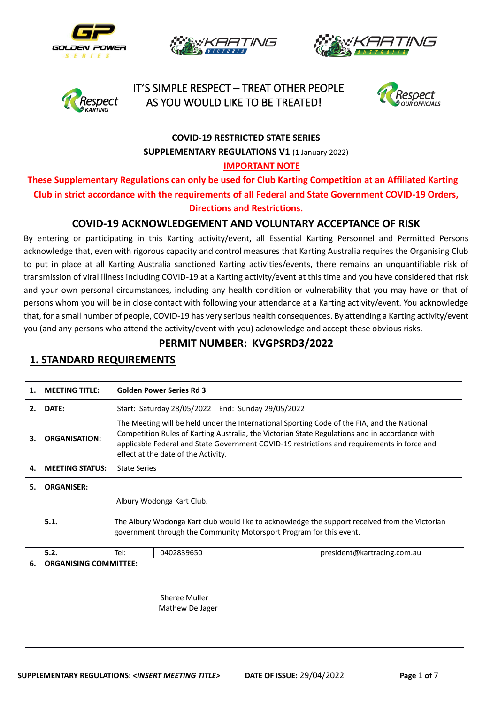









# **COVID-19 RESTRICTED STATE SERIES SUPPLEMENTARY REGULATIONS V1 (1 January 2022)**

#### **IMPORTANT NOTE**

**These Supplementary Regulations can only be used for Club Karting Competition at an Affiliated Karting Club in strict accordance with the requirements of all Federal and State Government COVID-19 Orders, Directions and Restrictions.**

#### **COVID-19 ACKNOWLEDGEMENT AND VOLUNTARY ACCEPTANCE OF RISK**

By entering or participating in this Karting activity/event, all Essential Karting Personnel and Permitted Persons acknowledge that, even with rigorous capacity and control measures that Karting Australia requires the Organising Club to put in place at all Karting Australia sanctioned Karting activities/events, there remains an unquantifiable risk of transmission of viral illness including COVID-19 at a Karting activity/event at this time and you have considered that risk and your own personal circumstances, including any health condition or vulnerability that you may have or that of persons whom you will be in close contact with following your attendance at a Karting activity/event. You acknowledge that, for a small number of people, COVID-19 has very serious health consequences. By attending a Karting activity/event you (and any persons who attend the activity/event with you) acknowledge and accept these obvious risks.

#### **PERMIT NUMBER: KVGPSRD3/2022**

| 1. | <b>MEETING TITLE:</b>        |      | <b>Golden Power Series Rd 3</b>                                                                                                                                                                                                                                                                                                     |  |  |  |  |
|----|------------------------------|------|-------------------------------------------------------------------------------------------------------------------------------------------------------------------------------------------------------------------------------------------------------------------------------------------------------------------------------------|--|--|--|--|
| 2. | DATE:                        |      | Start: Saturday 28/05/2022 End: Sunday 29/05/2022                                                                                                                                                                                                                                                                                   |  |  |  |  |
| З. | <b>ORGANISATION:</b>         |      | The Meeting will be held under the International Sporting Code of the FIA, and the National<br>Competition Rules of Karting Australia, the Victorian State Regulations and in accordance with<br>applicable Federal and State Government COVID-19 restrictions and requirements in force and<br>effect at the date of the Activity. |  |  |  |  |
| 4. | <b>MEETING STATUS:</b>       |      | <b>State Series</b>                                                                                                                                                                                                                                                                                                                 |  |  |  |  |
| 5. | <b>ORGANISER:</b>            |      |                                                                                                                                                                                                                                                                                                                                     |  |  |  |  |
|    |                              |      | Albury Wodonga Kart Club.                                                                                                                                                                                                                                                                                                           |  |  |  |  |
|    | 5.1.                         |      | The Albury Wodonga Kart club would like to acknowledge the support received from the Victorian<br>government through the Community Motorsport Program for this event.                                                                                                                                                               |  |  |  |  |
|    | 5.2.                         | Tel: | 0402839650<br>president@kartracing.com.au                                                                                                                                                                                                                                                                                           |  |  |  |  |
| 6. | <b>ORGANISING COMMITTEE:</b> |      | Sheree Muller<br>Mathew De Jager                                                                                                                                                                                                                                                                                                    |  |  |  |  |

### **1. STANDARD REQUIREMENTS**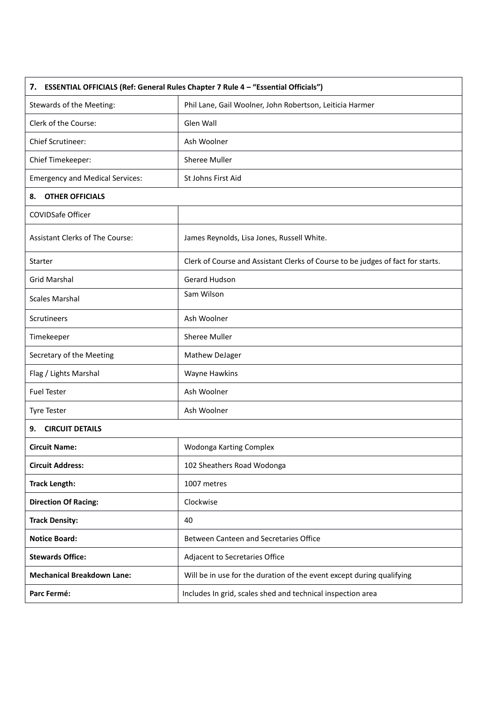| 7. ESSENTIAL OFFICIALS (Ref: General Rules Chapter 7 Rule 4 - "Essential Officials") |                                                                                 |  |  |  |
|--------------------------------------------------------------------------------------|---------------------------------------------------------------------------------|--|--|--|
| Stewards of the Meeting:                                                             | Phil Lane, Gail Woolner, John Robertson, Leiticia Harmer                        |  |  |  |
| Clerk of the Course:                                                                 | Glen Wall                                                                       |  |  |  |
| Chief Scrutineer:                                                                    | Ash Woolner                                                                     |  |  |  |
| Chief Timekeeper:                                                                    | Sheree Muller                                                                   |  |  |  |
| <b>Emergency and Medical Services:</b>                                               | St Johns First Aid                                                              |  |  |  |
| <b>OTHER OFFICIALS</b><br>8.                                                         |                                                                                 |  |  |  |
| <b>COVIDSafe Officer</b>                                                             |                                                                                 |  |  |  |
| Assistant Clerks of The Course:                                                      | James Reynolds, Lisa Jones, Russell White.                                      |  |  |  |
| Starter                                                                              | Clerk of Course and Assistant Clerks of Course to be judges of fact for starts. |  |  |  |
| <b>Grid Marshal</b>                                                                  | Gerard Hudson                                                                   |  |  |  |
| <b>Scales Marshal</b>                                                                | Sam Wilson                                                                      |  |  |  |
| <b>Scrutineers</b>                                                                   | Ash Woolner                                                                     |  |  |  |
| Timekeeper                                                                           | Sheree Muller                                                                   |  |  |  |
| Secretary of the Meeting                                                             | Mathew DeJager                                                                  |  |  |  |
| Flag / Lights Marshal                                                                | Wayne Hawkins                                                                   |  |  |  |
| <b>Fuel Tester</b>                                                                   | Ash Woolner                                                                     |  |  |  |
| <b>Tyre Tester</b>                                                                   | Ash Woolner                                                                     |  |  |  |
| <b>CIRCUIT DETAILS</b><br>9.                                                         |                                                                                 |  |  |  |
| <b>Circuit Name:</b>                                                                 | Wodonga Karting Complex                                                         |  |  |  |
| <b>Circuit Address:</b>                                                              | 102 Sheathers Road Wodonga                                                      |  |  |  |
| <b>Track Length:</b>                                                                 | 1007 metres                                                                     |  |  |  |
| <b>Direction Of Racing:</b>                                                          | Clockwise                                                                       |  |  |  |
| <b>Track Density:</b>                                                                | 40                                                                              |  |  |  |
| <b>Notice Board:</b>                                                                 | Between Canteen and Secretaries Office                                          |  |  |  |
| <b>Stewards Office:</b>                                                              | Adjacent to Secretaries Office                                                  |  |  |  |
| <b>Mechanical Breakdown Lane:</b>                                                    | Will be in use for the duration of the event except during qualifying           |  |  |  |
| Parc Fermé:                                                                          | Includes In grid, scales shed and technical inspection area                     |  |  |  |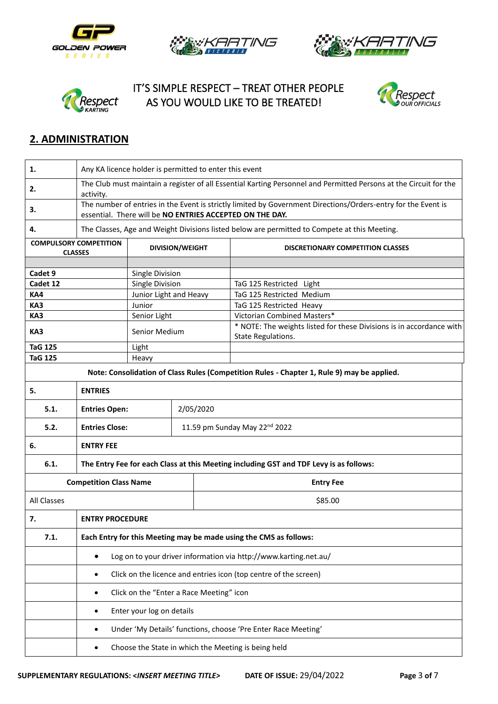









## **2. ADMINISTRATION**

| 1.                            | Any KA licence holder is permitted to enter this event                                                                                                                    |                                          |  |                                           |                                                                                              |  |  |
|-------------------------------|---------------------------------------------------------------------------------------------------------------------------------------------------------------------------|------------------------------------------|--|-------------------------------------------|----------------------------------------------------------------------------------------------|--|--|
| 2.                            | The Club must maintain a register of all Essential Karting Personnel and Permitted Persons at the Circuit for the<br>activity.                                            |                                          |  |                                           |                                                                                              |  |  |
| 3.                            | The number of entries in the Event is strictly limited by Government Directions/Orders-entry for the Event is<br>essential. There will be NO ENTRIES ACCEPTED ON THE DAY. |                                          |  |                                           |                                                                                              |  |  |
| 4.                            |                                                                                                                                                                           |                                          |  |                                           | The Classes, Age and Weight Divisions listed below are permitted to Compete at this Meeting. |  |  |
|                               | <b>COMPULSORY COMPETITION</b><br><b>CLASSES</b>                                                                                                                           | <b>DIVISION/WEIGHT</b>                   |  |                                           | <b>DISCRETIONARY COMPETITION CLASSES</b>                                                     |  |  |
| Cadet 9                       |                                                                                                                                                                           | Single Division                          |  |                                           |                                                                                              |  |  |
| Cadet 12                      |                                                                                                                                                                           | Single Division                          |  |                                           | TaG 125 Restricted Light                                                                     |  |  |
| KA4                           |                                                                                                                                                                           | Junior Light and Heavy                   |  |                                           | TaG 125 Restricted Medium                                                                    |  |  |
| KA3                           |                                                                                                                                                                           | Junior                                   |  |                                           | TaG 125 Restricted Heavy                                                                     |  |  |
| KA3                           |                                                                                                                                                                           | Senior Light                             |  |                                           | Victorian Combined Masters*                                                                  |  |  |
| KA3                           |                                                                                                                                                                           | Senior Medium                            |  |                                           | * NOTE: The weights listed for these Divisions is in accordance with<br>State Regulations.   |  |  |
| <b>TaG 125</b>                |                                                                                                                                                                           | Light                                    |  |                                           |                                                                                              |  |  |
| <b>TaG 125</b>                |                                                                                                                                                                           | Heavy                                    |  |                                           |                                                                                              |  |  |
|                               |                                                                                                                                                                           |                                          |  |                                           | Note: Consolidation of Class Rules (Competition Rules - Chapter 1, Rule 9) may be applied.   |  |  |
| 5.                            | <b>ENTRIES</b>                                                                                                                                                            |                                          |  |                                           |                                                                                              |  |  |
| 5.1.                          |                                                                                                                                                                           | <b>Entries Open:</b><br>2/05/2020        |  |                                           |                                                                                              |  |  |
| 5.2.                          | <b>Entries Close:</b>                                                                                                                                                     |                                          |  | 11.59 pm Sunday May 22 <sup>nd</sup> 2022 |                                                                                              |  |  |
| 6.                            | <b>ENTRY FEE</b>                                                                                                                                                          |                                          |  |                                           |                                                                                              |  |  |
| 6.1.                          | The Entry Fee for each Class at this Meeting including GST and TDF Levy is as follows:                                                                                    |                                          |  |                                           |                                                                                              |  |  |
| <b>Competition Class Name</b> |                                                                                                                                                                           |                                          |  |                                           | <b>Entry Fee</b>                                                                             |  |  |
| All Classes                   |                                                                                                                                                                           |                                          |  | \$85.00                                   |                                                                                              |  |  |
| 7.                            | <b>ENTRY PROCEDURE</b>                                                                                                                                                    |                                          |  |                                           |                                                                                              |  |  |
| 7.1.                          | Each Entry for this Meeting may be made using the CMS as follows:                                                                                                         |                                          |  |                                           |                                                                                              |  |  |
|                               | Log on to your driver information via http://www.karting.net.au/                                                                                                          |                                          |  |                                           |                                                                                              |  |  |
|                               | Click on the licence and entries icon (top centre of the screen)<br>$\bullet$                                                                                             |                                          |  |                                           |                                                                                              |  |  |
|                               | $\bullet$                                                                                                                                                                 | Click on the "Enter a Race Meeting" icon |  |                                           |                                                                                              |  |  |
|                               | ٠                                                                                                                                                                         | Enter your log on details                |  |                                           |                                                                                              |  |  |
|                               | Under 'My Details' functions, choose 'Pre Enter Race Meeting'                                                                                                             |                                          |  |                                           |                                                                                              |  |  |
|                               | Choose the State in which the Meeting is being held                                                                                                                       |                                          |  |                                           |                                                                                              |  |  |
|                               |                                                                                                                                                                           |                                          |  |                                           |                                                                                              |  |  |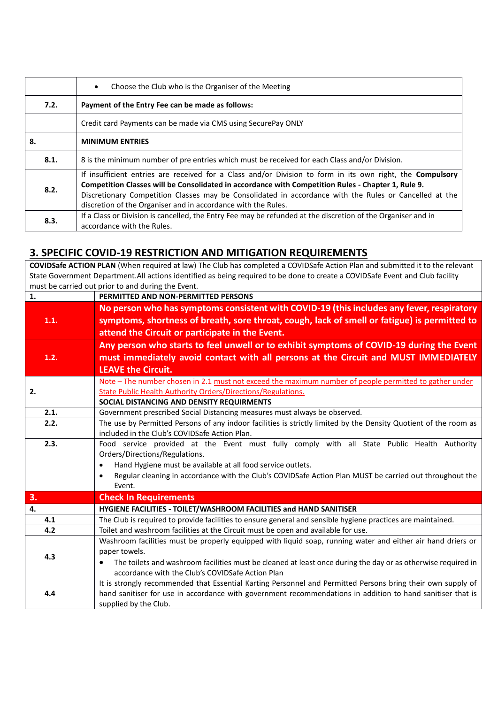|      | Choose the Club who is the Organiser of the Meeting<br>$\bullet$                                                                                                                                                                                                                                                                                                                                  |
|------|---------------------------------------------------------------------------------------------------------------------------------------------------------------------------------------------------------------------------------------------------------------------------------------------------------------------------------------------------------------------------------------------------|
| 7.2. | Payment of the Entry Fee can be made as follows:                                                                                                                                                                                                                                                                                                                                                  |
|      | Credit card Payments can be made via CMS using SecurePay ONLY                                                                                                                                                                                                                                                                                                                                     |
| 8.   | <b>MINIMUM ENTRIES</b>                                                                                                                                                                                                                                                                                                                                                                            |
| 8.1. | 8 is the minimum number of pre entries which must be received for each Class and/or Division.                                                                                                                                                                                                                                                                                                     |
| 8.2. | If insufficient entries are received for a Class and/or Division to form in its own right, the <b>Compulsory</b><br>Competition Classes will be Consolidated in accordance with Competition Rules - Chapter 1, Rule 9.<br>Discretionary Competition Classes may be Consolidated in accordance with the Rules or Cancelled at the<br>discretion of the Organiser and in accordance with the Rules. |
| 8.3. | If a Class or Division is cancelled, the Entry Fee may be refunded at the discretion of the Organiser and in<br>accordance with the Rules.                                                                                                                                                                                                                                                        |

#### **3. SPECIFIC COVID-19 RESTRICTION AND MITIGATION REQUIREMENTS**

**COVIDSafe ACTION PLAN** (When required at law) The Club has completed a COVIDSafe Action Plan and submitted it to the relevant State Government Department.All actions identified as being required to be done to create a COVIDSafe Event and Club facility must be carried out prior to and during the Event.

| No person who has symptoms consistent with COVID-19 (this includes any fever, respiratory<br>symptoms, shortness of breath, sore throat, cough, lack of smell or fatigue) is permitted to<br>1.1.<br>attend the Circuit or participate in the Event.<br>Any person who starts to feel unwell or to exhibit symptoms of COVID-19 during the Event<br>must immediately avoid contact with all persons at the Circuit and MUST IMMEDIATELY<br>1.2.<br><b>LEAVE the Circuit.</b><br>Note - The number chosen in 2.1 must not exceed the maximum number of people permitted to gather under<br><b>State Public Health Authority Orders/Directions/Regulations.</b><br>2.<br>SOCIAL DISTANCING AND DENSITY REQUIRMENTS<br>2.1.<br>Government prescribed Social Distancing measures must always be observed.<br>The use by Permitted Persons of any indoor facilities is strictly limited by the Density Quotient of the room as<br>2.2.<br>included in the Club's COVIDSafe Action Plan.<br>2.3.<br>Food service provided at the Event must fully comply with all State Public Health Authority<br>Orders/Directions/Regulations.<br>Hand Hygiene must be available at all food service outlets.<br>$\bullet$<br>Regular cleaning in accordance with the Club's COVIDSafe Action Plan MUST be carried out throughout the<br>$\bullet$<br>Event.<br>3.<br><b>Check In Requirements</b><br>4.<br>HYGIENE FACILITIES - TOILET/WASHROOM FACILITIES and HAND SANITISER<br>4.1<br>The Club is required to provide facilities to ensure general and sensible hygiene practices are maintained.<br>Toilet and washroom facilities at the Circuit must be open and available for use.<br>4.2<br>Washroom facilities must be properly equipped with liquid soap, running water and either air hand driers or<br>paper towels.<br>4.3<br>The toilets and washroom facilities must be cleaned at least once during the day or as otherwise required in<br>accordance with the Club's COVIDSafe Action Plan<br>It is strongly recommended that Essential Karting Personnel and Permitted Persons bring their own supply of<br>hand sanitiser for use in accordance with government recommendations in addition to hand sanitiser that is<br>4.4 | $\mathbf{1}$ . | PERMITTED AND NON-PERMITTED PERSONS |  |  |  |  |  |  |
|------------------------------------------------------------------------------------------------------------------------------------------------------------------------------------------------------------------------------------------------------------------------------------------------------------------------------------------------------------------------------------------------------------------------------------------------------------------------------------------------------------------------------------------------------------------------------------------------------------------------------------------------------------------------------------------------------------------------------------------------------------------------------------------------------------------------------------------------------------------------------------------------------------------------------------------------------------------------------------------------------------------------------------------------------------------------------------------------------------------------------------------------------------------------------------------------------------------------------------------------------------------------------------------------------------------------------------------------------------------------------------------------------------------------------------------------------------------------------------------------------------------------------------------------------------------------------------------------------------------------------------------------------------------------------------------------------------------------------------------------------------------------------------------------------------------------------------------------------------------------------------------------------------------------------------------------------------------------------------------------------------------------------------------------------------------------------------------------------------------------------------------------------------------------------------------------------------------------------|----------------|-------------------------------------|--|--|--|--|--|--|
|                                                                                                                                                                                                                                                                                                                                                                                                                                                                                                                                                                                                                                                                                                                                                                                                                                                                                                                                                                                                                                                                                                                                                                                                                                                                                                                                                                                                                                                                                                                                                                                                                                                                                                                                                                                                                                                                                                                                                                                                                                                                                                                                                                                                                              |                |                                     |  |  |  |  |  |  |
|                                                                                                                                                                                                                                                                                                                                                                                                                                                                                                                                                                                                                                                                                                                                                                                                                                                                                                                                                                                                                                                                                                                                                                                                                                                                                                                                                                                                                                                                                                                                                                                                                                                                                                                                                                                                                                                                                                                                                                                                                                                                                                                                                                                                                              |                |                                     |  |  |  |  |  |  |
|                                                                                                                                                                                                                                                                                                                                                                                                                                                                                                                                                                                                                                                                                                                                                                                                                                                                                                                                                                                                                                                                                                                                                                                                                                                                                                                                                                                                                                                                                                                                                                                                                                                                                                                                                                                                                                                                                                                                                                                                                                                                                                                                                                                                                              |                |                                     |  |  |  |  |  |  |
|                                                                                                                                                                                                                                                                                                                                                                                                                                                                                                                                                                                                                                                                                                                                                                                                                                                                                                                                                                                                                                                                                                                                                                                                                                                                                                                                                                                                                                                                                                                                                                                                                                                                                                                                                                                                                                                                                                                                                                                                                                                                                                                                                                                                                              |                |                                     |  |  |  |  |  |  |
|                                                                                                                                                                                                                                                                                                                                                                                                                                                                                                                                                                                                                                                                                                                                                                                                                                                                                                                                                                                                                                                                                                                                                                                                                                                                                                                                                                                                                                                                                                                                                                                                                                                                                                                                                                                                                                                                                                                                                                                                                                                                                                                                                                                                                              |                |                                     |  |  |  |  |  |  |
|                                                                                                                                                                                                                                                                                                                                                                                                                                                                                                                                                                                                                                                                                                                                                                                                                                                                                                                                                                                                                                                                                                                                                                                                                                                                                                                                                                                                                                                                                                                                                                                                                                                                                                                                                                                                                                                                                                                                                                                                                                                                                                                                                                                                                              |                |                                     |  |  |  |  |  |  |
|                                                                                                                                                                                                                                                                                                                                                                                                                                                                                                                                                                                                                                                                                                                                                                                                                                                                                                                                                                                                                                                                                                                                                                                                                                                                                                                                                                                                                                                                                                                                                                                                                                                                                                                                                                                                                                                                                                                                                                                                                                                                                                                                                                                                                              |                |                                     |  |  |  |  |  |  |
|                                                                                                                                                                                                                                                                                                                                                                                                                                                                                                                                                                                                                                                                                                                                                                                                                                                                                                                                                                                                                                                                                                                                                                                                                                                                                                                                                                                                                                                                                                                                                                                                                                                                                                                                                                                                                                                                                                                                                                                                                                                                                                                                                                                                                              |                |                                     |  |  |  |  |  |  |
|                                                                                                                                                                                                                                                                                                                                                                                                                                                                                                                                                                                                                                                                                                                                                                                                                                                                                                                                                                                                                                                                                                                                                                                                                                                                                                                                                                                                                                                                                                                                                                                                                                                                                                                                                                                                                                                                                                                                                                                                                                                                                                                                                                                                                              |                |                                     |  |  |  |  |  |  |
|                                                                                                                                                                                                                                                                                                                                                                                                                                                                                                                                                                                                                                                                                                                                                                                                                                                                                                                                                                                                                                                                                                                                                                                                                                                                                                                                                                                                                                                                                                                                                                                                                                                                                                                                                                                                                                                                                                                                                                                                                                                                                                                                                                                                                              |                |                                     |  |  |  |  |  |  |
|                                                                                                                                                                                                                                                                                                                                                                                                                                                                                                                                                                                                                                                                                                                                                                                                                                                                                                                                                                                                                                                                                                                                                                                                                                                                                                                                                                                                                                                                                                                                                                                                                                                                                                                                                                                                                                                                                                                                                                                                                                                                                                                                                                                                                              |                |                                     |  |  |  |  |  |  |
|                                                                                                                                                                                                                                                                                                                                                                                                                                                                                                                                                                                                                                                                                                                                                                                                                                                                                                                                                                                                                                                                                                                                                                                                                                                                                                                                                                                                                                                                                                                                                                                                                                                                                                                                                                                                                                                                                                                                                                                                                                                                                                                                                                                                                              |                |                                     |  |  |  |  |  |  |
|                                                                                                                                                                                                                                                                                                                                                                                                                                                                                                                                                                                                                                                                                                                                                                                                                                                                                                                                                                                                                                                                                                                                                                                                                                                                                                                                                                                                                                                                                                                                                                                                                                                                                                                                                                                                                                                                                                                                                                                                                                                                                                                                                                                                                              |                |                                     |  |  |  |  |  |  |
|                                                                                                                                                                                                                                                                                                                                                                                                                                                                                                                                                                                                                                                                                                                                                                                                                                                                                                                                                                                                                                                                                                                                                                                                                                                                                                                                                                                                                                                                                                                                                                                                                                                                                                                                                                                                                                                                                                                                                                                                                                                                                                                                                                                                                              |                |                                     |  |  |  |  |  |  |
|                                                                                                                                                                                                                                                                                                                                                                                                                                                                                                                                                                                                                                                                                                                                                                                                                                                                                                                                                                                                                                                                                                                                                                                                                                                                                                                                                                                                                                                                                                                                                                                                                                                                                                                                                                                                                                                                                                                                                                                                                                                                                                                                                                                                                              |                |                                     |  |  |  |  |  |  |
|                                                                                                                                                                                                                                                                                                                                                                                                                                                                                                                                                                                                                                                                                                                                                                                                                                                                                                                                                                                                                                                                                                                                                                                                                                                                                                                                                                                                                                                                                                                                                                                                                                                                                                                                                                                                                                                                                                                                                                                                                                                                                                                                                                                                                              |                |                                     |  |  |  |  |  |  |
|                                                                                                                                                                                                                                                                                                                                                                                                                                                                                                                                                                                                                                                                                                                                                                                                                                                                                                                                                                                                                                                                                                                                                                                                                                                                                                                                                                                                                                                                                                                                                                                                                                                                                                                                                                                                                                                                                                                                                                                                                                                                                                                                                                                                                              |                |                                     |  |  |  |  |  |  |
|                                                                                                                                                                                                                                                                                                                                                                                                                                                                                                                                                                                                                                                                                                                                                                                                                                                                                                                                                                                                                                                                                                                                                                                                                                                                                                                                                                                                                                                                                                                                                                                                                                                                                                                                                                                                                                                                                                                                                                                                                                                                                                                                                                                                                              |                |                                     |  |  |  |  |  |  |
|                                                                                                                                                                                                                                                                                                                                                                                                                                                                                                                                                                                                                                                                                                                                                                                                                                                                                                                                                                                                                                                                                                                                                                                                                                                                                                                                                                                                                                                                                                                                                                                                                                                                                                                                                                                                                                                                                                                                                                                                                                                                                                                                                                                                                              |                |                                     |  |  |  |  |  |  |
|                                                                                                                                                                                                                                                                                                                                                                                                                                                                                                                                                                                                                                                                                                                                                                                                                                                                                                                                                                                                                                                                                                                                                                                                                                                                                                                                                                                                                                                                                                                                                                                                                                                                                                                                                                                                                                                                                                                                                                                                                                                                                                                                                                                                                              |                |                                     |  |  |  |  |  |  |
|                                                                                                                                                                                                                                                                                                                                                                                                                                                                                                                                                                                                                                                                                                                                                                                                                                                                                                                                                                                                                                                                                                                                                                                                                                                                                                                                                                                                                                                                                                                                                                                                                                                                                                                                                                                                                                                                                                                                                                                                                                                                                                                                                                                                                              |                |                                     |  |  |  |  |  |  |
|                                                                                                                                                                                                                                                                                                                                                                                                                                                                                                                                                                                                                                                                                                                                                                                                                                                                                                                                                                                                                                                                                                                                                                                                                                                                                                                                                                                                                                                                                                                                                                                                                                                                                                                                                                                                                                                                                                                                                                                                                                                                                                                                                                                                                              |                |                                     |  |  |  |  |  |  |
|                                                                                                                                                                                                                                                                                                                                                                                                                                                                                                                                                                                                                                                                                                                                                                                                                                                                                                                                                                                                                                                                                                                                                                                                                                                                                                                                                                                                                                                                                                                                                                                                                                                                                                                                                                                                                                                                                                                                                                                                                                                                                                                                                                                                                              |                |                                     |  |  |  |  |  |  |
|                                                                                                                                                                                                                                                                                                                                                                                                                                                                                                                                                                                                                                                                                                                                                                                                                                                                                                                                                                                                                                                                                                                                                                                                                                                                                                                                                                                                                                                                                                                                                                                                                                                                                                                                                                                                                                                                                                                                                                                                                                                                                                                                                                                                                              |                |                                     |  |  |  |  |  |  |
|                                                                                                                                                                                                                                                                                                                                                                                                                                                                                                                                                                                                                                                                                                                                                                                                                                                                                                                                                                                                                                                                                                                                                                                                                                                                                                                                                                                                                                                                                                                                                                                                                                                                                                                                                                                                                                                                                                                                                                                                                                                                                                                                                                                                                              |                |                                     |  |  |  |  |  |  |
|                                                                                                                                                                                                                                                                                                                                                                                                                                                                                                                                                                                                                                                                                                                                                                                                                                                                                                                                                                                                                                                                                                                                                                                                                                                                                                                                                                                                                                                                                                                                                                                                                                                                                                                                                                                                                                                                                                                                                                                                                                                                                                                                                                                                                              |                |                                     |  |  |  |  |  |  |
|                                                                                                                                                                                                                                                                                                                                                                                                                                                                                                                                                                                                                                                                                                                                                                                                                                                                                                                                                                                                                                                                                                                                                                                                                                                                                                                                                                                                                                                                                                                                                                                                                                                                                                                                                                                                                                                                                                                                                                                                                                                                                                                                                                                                                              |                | supplied by the Club.               |  |  |  |  |  |  |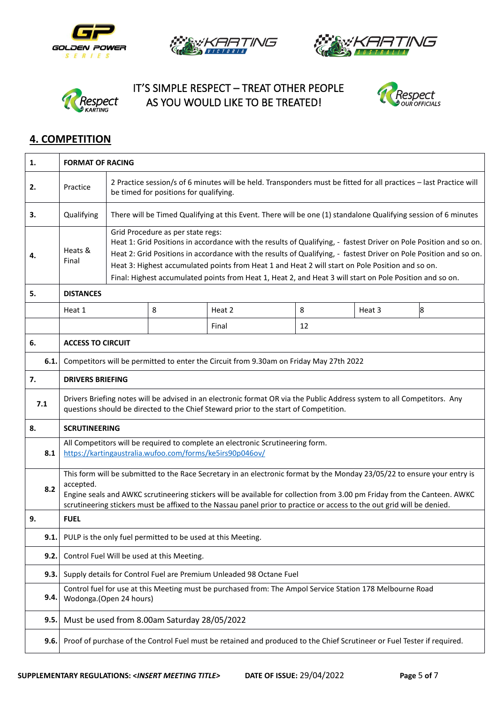









## **4. COMPETITION**

| 1.   | <b>FORMAT OF RACING</b>                                                                                                                                                                                                                                                                                                                                                                     |                                                                                                                                                                                                                                                                                                                                                                                                                                                                                             |   |        |    |        |   |  |
|------|---------------------------------------------------------------------------------------------------------------------------------------------------------------------------------------------------------------------------------------------------------------------------------------------------------------------------------------------------------------------------------------------|---------------------------------------------------------------------------------------------------------------------------------------------------------------------------------------------------------------------------------------------------------------------------------------------------------------------------------------------------------------------------------------------------------------------------------------------------------------------------------------------|---|--------|----|--------|---|--|
| 2.   | Practice                                                                                                                                                                                                                                                                                                                                                                                    | 2 Practice session/s of 6 minutes will be held. Transponders must be fitted for all practices - last Practice will<br>be timed for positions for qualifying.                                                                                                                                                                                                                                                                                                                                |   |        |    |        |   |  |
| 3.   | Qualifying                                                                                                                                                                                                                                                                                                                                                                                  | There will be Timed Qualifying at this Event. There will be one (1) standalone Qualifying session of 6 minutes                                                                                                                                                                                                                                                                                                                                                                              |   |        |    |        |   |  |
| 4.   | Heats &<br>Final                                                                                                                                                                                                                                                                                                                                                                            | Grid Procedure as per state regs:<br>Heat 1: Grid Positions in accordance with the results of Qualifying, - fastest Driver on Pole Position and so on.<br>Heat 2: Grid Positions in accordance with the results of Qualifying, - fastest Driver on Pole Position and so on.<br>Heat 3: Highest accumulated points from Heat 1 and Heat 2 will start on Pole Position and so on.<br>Final: Highest accumulated points from Heat 1, Heat 2, and Heat 3 will start on Pole Position and so on. |   |        |    |        |   |  |
| 5.   | <b>DISTANCES</b>                                                                                                                                                                                                                                                                                                                                                                            |                                                                                                                                                                                                                                                                                                                                                                                                                                                                                             |   |        |    |        |   |  |
|      | Heat 1                                                                                                                                                                                                                                                                                                                                                                                      |                                                                                                                                                                                                                                                                                                                                                                                                                                                                                             | 8 | Heat 2 | 8  | Heat 3 | 8 |  |
|      |                                                                                                                                                                                                                                                                                                                                                                                             |                                                                                                                                                                                                                                                                                                                                                                                                                                                                                             |   | Final  | 12 |        |   |  |
| 6.   | <b>ACCESS TO CIRCUIT</b>                                                                                                                                                                                                                                                                                                                                                                    |                                                                                                                                                                                                                                                                                                                                                                                                                                                                                             |   |        |    |        |   |  |
| 6.1. | Competitors will be permitted to enter the Circuit from 9.30am on Friday May 27th 2022                                                                                                                                                                                                                                                                                                      |                                                                                                                                                                                                                                                                                                                                                                                                                                                                                             |   |        |    |        |   |  |
| 7.   | <b>DRIVERS BRIEFING</b>                                                                                                                                                                                                                                                                                                                                                                     |                                                                                                                                                                                                                                                                                                                                                                                                                                                                                             |   |        |    |        |   |  |
| 7.1  | Drivers Briefing notes will be advised in an electronic format OR via the Public Address system to all Competitors. Any<br>questions should be directed to the Chief Steward prior to the start of Competition.                                                                                                                                                                             |                                                                                                                                                                                                                                                                                                                                                                                                                                                                                             |   |        |    |        |   |  |
| 8.   | <b>SCRUTINEERING</b>                                                                                                                                                                                                                                                                                                                                                                        |                                                                                                                                                                                                                                                                                                                                                                                                                                                                                             |   |        |    |        |   |  |
| 8.1  | All Competitors will be required to complete an electronic Scrutineering form.<br>https://kartingaustralia.wufoo.com/forms/ke5irs90p046ov/                                                                                                                                                                                                                                                  |                                                                                                                                                                                                                                                                                                                                                                                                                                                                                             |   |        |    |        |   |  |
| 8.2  | This form will be submitted to the Race Secretary in an electronic format by the Monday 23/05/22 to ensure your entry is<br>accepted.<br>Engine seals and AWKC scrutineering stickers will be available for collection from 3.00 pm Friday from the Canteen. AWKC<br>scrutineering stickers must be affixed to the Nassau panel prior to practice or access to the out grid will be denied. |                                                                                                                                                                                                                                                                                                                                                                                                                                                                                             |   |        |    |        |   |  |
| 9.   | <b>FUEL</b>                                                                                                                                                                                                                                                                                                                                                                                 |                                                                                                                                                                                                                                                                                                                                                                                                                                                                                             |   |        |    |        |   |  |
| 9.1. | PULP is the only fuel permitted to be used at this Meeting.                                                                                                                                                                                                                                                                                                                                 |                                                                                                                                                                                                                                                                                                                                                                                                                                                                                             |   |        |    |        |   |  |
| 9.2. | Control Fuel Will be used at this Meeting.                                                                                                                                                                                                                                                                                                                                                  |                                                                                                                                                                                                                                                                                                                                                                                                                                                                                             |   |        |    |        |   |  |
| 9.3. | Supply details for Control Fuel are Premium Unleaded 98 Octane Fuel                                                                                                                                                                                                                                                                                                                         |                                                                                                                                                                                                                                                                                                                                                                                                                                                                                             |   |        |    |        |   |  |
| 9.4. | Control fuel for use at this Meeting must be purchased from: The Ampol Service Station 178 Melbourne Road<br>Wodonga.(Open 24 hours)                                                                                                                                                                                                                                                        |                                                                                                                                                                                                                                                                                                                                                                                                                                                                                             |   |        |    |        |   |  |
| 9.5. | Must be used from 8.00am Saturday 28/05/2022                                                                                                                                                                                                                                                                                                                                                |                                                                                                                                                                                                                                                                                                                                                                                                                                                                                             |   |        |    |        |   |  |
| 9.6. | Proof of purchase of the Control Fuel must be retained and produced to the Chief Scrutineer or Fuel Tester if required.                                                                                                                                                                                                                                                                     |                                                                                                                                                                                                                                                                                                                                                                                                                                                                                             |   |        |    |        |   |  |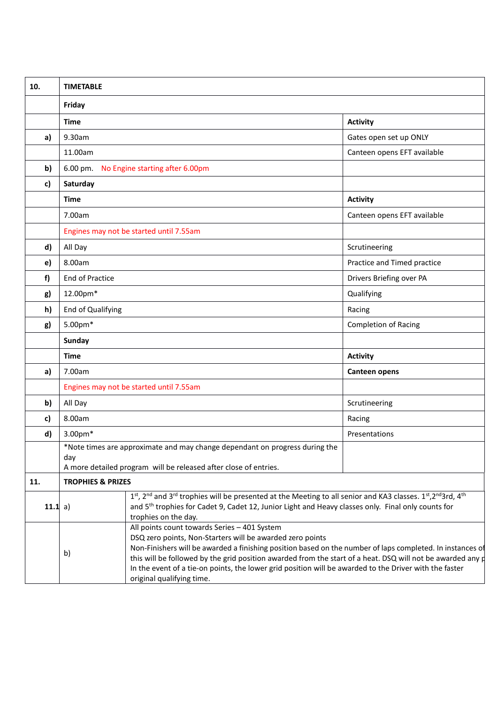| 10.     | <b>TIMETABLE</b>                                                                                                                                                                                                                                                                                                                                                                                                                                                                         |                             |  |  |  |  |  |
|---------|------------------------------------------------------------------------------------------------------------------------------------------------------------------------------------------------------------------------------------------------------------------------------------------------------------------------------------------------------------------------------------------------------------------------------------------------------------------------------------------|-----------------------------|--|--|--|--|--|
|         | Friday                                                                                                                                                                                                                                                                                                                                                                                                                                                                                   |                             |  |  |  |  |  |
|         | <b>Time</b>                                                                                                                                                                                                                                                                                                                                                                                                                                                                              | <b>Activity</b>             |  |  |  |  |  |
| a)      | 9.30am                                                                                                                                                                                                                                                                                                                                                                                                                                                                                   | Gates open set up ONLY      |  |  |  |  |  |
|         | 11.00am                                                                                                                                                                                                                                                                                                                                                                                                                                                                                  | Canteen opens EFT available |  |  |  |  |  |
| b)      | $6.00 \text{ pm}$ .<br>No Engine starting after 6.00pm                                                                                                                                                                                                                                                                                                                                                                                                                                   |                             |  |  |  |  |  |
| c)      | Saturday                                                                                                                                                                                                                                                                                                                                                                                                                                                                                 |                             |  |  |  |  |  |
|         | <b>Time</b>                                                                                                                                                                                                                                                                                                                                                                                                                                                                              | <b>Activity</b>             |  |  |  |  |  |
|         | 7.00am                                                                                                                                                                                                                                                                                                                                                                                                                                                                                   | Canteen opens EFT available |  |  |  |  |  |
|         | Engines may not be started until 7.55am                                                                                                                                                                                                                                                                                                                                                                                                                                                  |                             |  |  |  |  |  |
| d)      | All Day                                                                                                                                                                                                                                                                                                                                                                                                                                                                                  | Scrutineering               |  |  |  |  |  |
| e)      | 8.00am                                                                                                                                                                                                                                                                                                                                                                                                                                                                                   | Practice and Timed practice |  |  |  |  |  |
| f)      | End of Practice                                                                                                                                                                                                                                                                                                                                                                                                                                                                          | Drivers Briefing over PA    |  |  |  |  |  |
| g)      | 12.00pm*                                                                                                                                                                                                                                                                                                                                                                                                                                                                                 | Qualifying                  |  |  |  |  |  |
| h)      | End of Qualifying                                                                                                                                                                                                                                                                                                                                                                                                                                                                        | Racing                      |  |  |  |  |  |
| g)      | 5.00pm*                                                                                                                                                                                                                                                                                                                                                                                                                                                                                  | <b>Completion of Racing</b> |  |  |  |  |  |
|         | Sunday                                                                                                                                                                                                                                                                                                                                                                                                                                                                                   |                             |  |  |  |  |  |
|         | <b>Time</b>                                                                                                                                                                                                                                                                                                                                                                                                                                                                              | <b>Activity</b>             |  |  |  |  |  |
| a)      | 7.00am                                                                                                                                                                                                                                                                                                                                                                                                                                                                                   | <b>Canteen opens</b>        |  |  |  |  |  |
|         | Engines may not be started until 7.55am                                                                                                                                                                                                                                                                                                                                                                                                                                                  |                             |  |  |  |  |  |
| b)      | All Day                                                                                                                                                                                                                                                                                                                                                                                                                                                                                  | Scrutineering               |  |  |  |  |  |
| c)      | 8.00am                                                                                                                                                                                                                                                                                                                                                                                                                                                                                   | Racing                      |  |  |  |  |  |
| d)      | 3.00pm*                                                                                                                                                                                                                                                                                                                                                                                                                                                                                  | Presentations               |  |  |  |  |  |
|         | *Note times are approximate and may change dependant on progress during the<br>day<br>A more detailed program will be released after close of entries.                                                                                                                                                                                                                                                                                                                                   |                             |  |  |  |  |  |
| 11.     | <b>TROPHIES &amp; PRIZES</b>                                                                                                                                                                                                                                                                                                                                                                                                                                                             |                             |  |  |  |  |  |
| 11.1 a) | 1st, 2nd and 3rd trophies will be presented at the Meeting to all senior and KA3 classes. 1st, 2nd 3rd, 4th<br>and 5 <sup>th</sup> trophies for Cadet 9, Cadet 12, Junior Light and Heavy classes only. Final only counts for<br>trophies on the day.                                                                                                                                                                                                                                    |                             |  |  |  |  |  |
|         | All points count towards Series - 401 System<br>DSQ zero points, Non-Starters will be awarded zero points<br>Non-Finishers will be awarded a finishing position based on the number of laps completed. In instances of<br>b)<br>this will be followed by the grid position awarded from the start of a heat. DSQ will not be awarded any $\sharp$<br>In the event of a tie-on points, the lower grid position will be awarded to the Driver with the faster<br>original qualifying time. |                             |  |  |  |  |  |